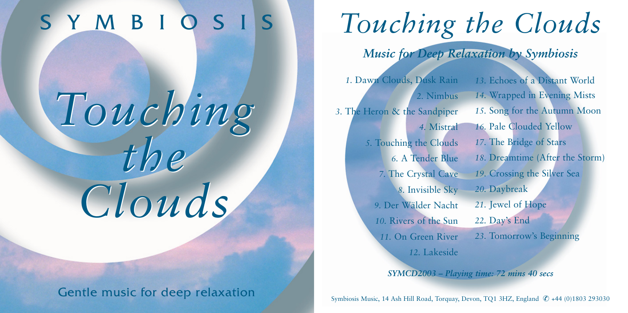## S Y M B I O S I S

# *Touching the Clouds Clouds Touching the*

### Gentle music for deep relaxation

# *Touching the Clouds*

*Music for Deep Relaxation by Symbiosis*

*1*. Dawn Clouds, Dusk Rain *2.* Nimbus *3.* The Heron & the Sandpiper *4.* Mistral *5.* Touching the Clouds *6.* A Tender Blue *7.* The Crystal Cave *8.* Invisible Sky *9.* Der Wälder Nacht *10.* Rivers of the Sun *11.* On Green River

*13.* Echoes of a Distant World *14.* Wrapped in Evening Mists *15.* Song for the Autumn Moon *16.* Pale Clouded Yellow *17.* The Bridge of Stars *18.* Dreamtime (After the Storm) *19.* Crossing the Silver Sea *20.* Daybreak *21.* Jewel of Hope *22.* Day's End *23.* Tomorrow's Beginning

*SYMCD2003 – Playing time: 72 mins 40 secs*

*12.* Lakeside

Symbiosis Music, 14 Ash Hill Road, Torquay, Devon, TQ1 3HZ, England ✆ +44 (0)1803 293030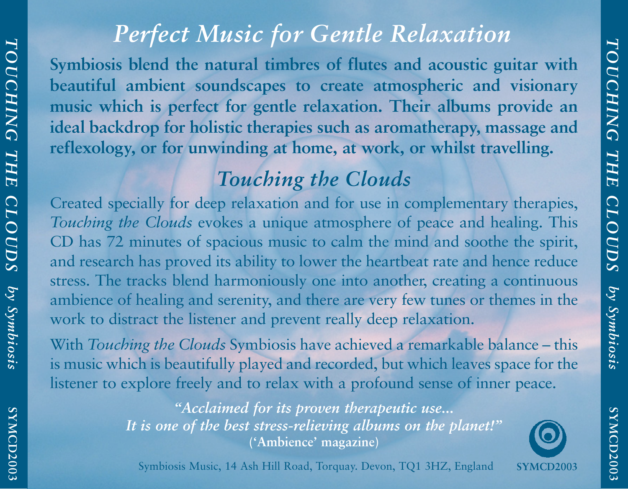**SYMCD2003**

SYMCD2003

**SYMCD2003**

SYMCD2003

### *Perfect Music for Gentle Relaxation*

**Symbiosis blend the natural timbres of flutes and acoustic guitar with beautiful ambient soundscapes to create atmospheric and visionary music which is perfect for gentle relaxation. Their albums provide an ideal backdrop for holistic therapies such as aromatherapy, massage and reflexology, or for unwinding at home, at work, or whilst travelling.**

### *Touching the Clouds*

Created specially for deep relaxation and for use in complementary therapies, *Touching the Clouds* evokes a unique atmosphere of peace and healing. This CD has 72 minutes of spacious music to calm the mind and soothe the spirit, and research has proved its ability to lower the heartbeat rate and hence reduce stress. The tracks blend harmoniously one into another, creating a continuous ambience of healing and serenity, and there are very few tunes or themes in the work to distract the listener and prevent really deep relaxation.

With *Touching the Clouds* Symbiosis have achieved a remarkable balance – this is music which is beautifully played and recorded, but which leaves space for the listener to explore freely and to relax with a profound sense of inner peace.

> *"Acclaimed for its proven therapeutic use... It is one of the best stress-relieving albums on the planet!"* **('Ambience' magazine)**

**SYMCD2003**

Symbiosis Music, 14 Ash Hill Road, Torquay. Devon, TQ1 3HZ, England

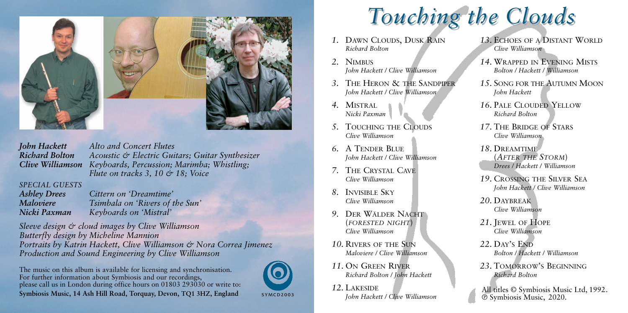

*John Hackett Alto and Concert Flutes Richard Bolton Acoustic & Electric Guitars; Guitar Synthesizer Clive Williamson Keyboards, Percussion; Marimba; Whistling; Flute on tracks 3, 10 & 18; Voice*

### *SPECIAL GUESTS*

*Ashley Drees Cittern on 'Dreamtime' Tsimbala on 'Rivers of the Sun' Nicki Paxman Keyboards on 'Mistral'*

*Sleeve design & cloud images by Clive Williamson Butterfly design by Micheline Mannion Portraits by Katrin Hackett, Clive Williamson & Nora Correa Jimenez Production and Sound Engineering by Clive Williamson*

The music on this album is available for licensing and synchronisation. For further information about Symbiosis and our recordings, please call us in London during office hours on 01803 293030 or write to: **Symbiosis Music, 14 Ash Hill Road, Torquay, Devon, TQ1 3HZ, England**

SYMCD2003

# *Touching the Clouds Touching the Clouds*

- *1.* Dawn Clouds, Dusk Rain *Richard Bolton*
- *2.* Nimbus *John Hackett / Clive Williamson*
- *3.* The Heron & the Sandpiper *John Hackett / Clive Williamson*
- *4.* Mistral *Nicki Paxman*
- **5. TOUCHING THE CLOUDS** *Clive Williamson*
- *6.* A Tender Blue *John Hackett / Clive Williamson*
- *7.* The Crystal Cave *Clive Williamson*
- *8.* Invisible Sky *Clive Williamson*
- *9.* Der Wälder Nacht (*forested night*) *Clive Williamson*
- *10.* Rivers of the Sun *Maloviere / Clive Williamson*
- *11.* On Green River *Richard Bolton / John Hackett*
- *12.* Lakeside *John Hackett / Clive Williamson*
- *13.* Echoes of a Distant World *Clive Williamson*
- *14.* Wrapped in Evening Mists *Bolton / Hackett / Williamson*
- *15.* Song for the Autumn Moon *John Hackett*
- *16.* PALE CLOUDED YELLOW *Richard Bolton*
- *17.* The Bridge of Stars *Clive Williamson*
- *18.* Dreamtime (*After the Storm*) *Drees / Hackett / Williamson*
- *19.* Crossing the Silver Sea *John Hackett / Clive Williamson*
- *20.* Daybreak *Clive Williamson*
- *21.* Jewel of Hope *Clive Williamson*
- 22. Day's END *Bolton / Hackett / Williamson*
- *23.* Tomorrow's Beginning *Richard Bolton*
- All titles © Symbiosis Music Ltd, 1992. ® Symbiosis Music, 2020.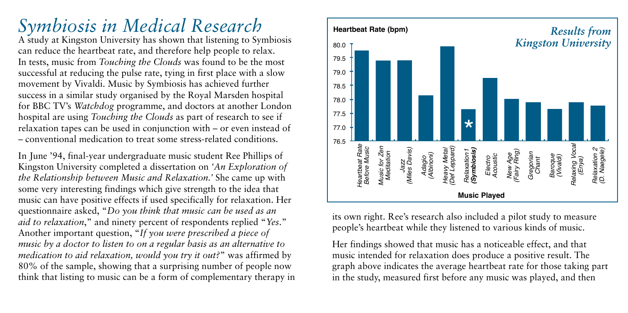## *Symbiosis in Medical Research*

A study at Kingston University has shown that listening to Symbiosis can reduce the heartbeat rate, and therefore help people to relax. In tests, music from *Touching the Clouds* was found to be the most successful at reducing the pulse rate, tying in first place with a slow movement by Vivaldi. Music by Symbiosis has achieved further success in a similar study organised by the Royal Marsden hospital for BBC TV's *Watchdog* programme, and doctors at another London hospital are using *Touching the Clouds* as part of research to see if relaxation tapes can be used in conjunction with – or even instead of – conventional medication to treat some stress-related conditions.

In June '94, final-year undergraduate music student Ree Phillips of Kingston University completed a dissertation on *'An Exploration of the Relationship between Music and Relaxation.'* She came up with some very interesting findings which give strength to the idea that music can have positive effects if used specifically for relaxation. Her questionnaire asked, "*Do you think that music can be used as an aid to relaxation*," and ninety percent of respondents replied "*Yes*." Another important question, "*If you were prescribed a piece of music by a doctor to listen to on a regular basis as an alternative to medication to aid relaxation, would you try it out?*" was affirmed by 80% of the sample, showing that a surprising number of people now think that listing to music can be a form of complementary therapy in



its own right. Ree's research also included a pilot study to measure people's heartbeat while they listened to various kinds of music.

Her findings showed that music has a noticeable effect, and that music intended for relaxation does produce a positive result. The graph above indicates the average heartbeat rate for those taking part in the study, measured first before any music was played, and then